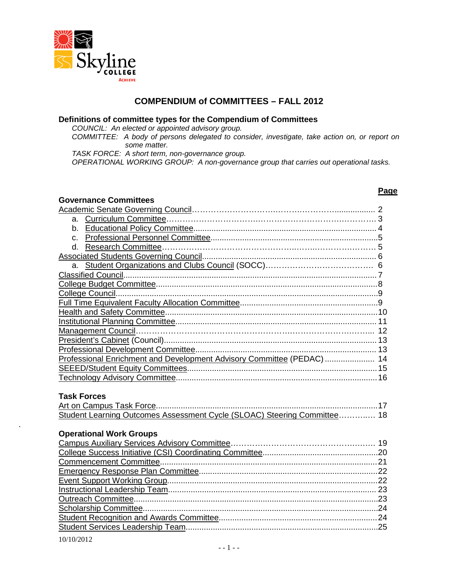

#### **COMPENDIUM of COMMITTEES – FALL 2012**

#### **Definitions of committee types for the Compendium of Committees**

*COUNCIL: An elected or appointed advisory group.*

*COMMITTEE: A body of persons delegated to consider, investigate, take action on, or report on some matter.*

*TASK FORCE: A short term, non-governance group.*

*OPERATIONAL WORKING GROUP: A non-governance group that carries out operational tasks.*

#### **Page**

| <b>Governance Committees</b>                                             |  |
|--------------------------------------------------------------------------|--|
|                                                                          |  |
|                                                                          |  |
|                                                                          |  |
|                                                                          |  |
|                                                                          |  |
|                                                                          |  |
|                                                                          |  |
|                                                                          |  |
|                                                                          |  |
|                                                                          |  |
|                                                                          |  |
|                                                                          |  |
|                                                                          |  |
|                                                                          |  |
|                                                                          |  |
|                                                                          |  |
| Professional Enrichment and Development Advisory Committee (PEDAC)  14   |  |
|                                                                          |  |
|                                                                          |  |
|                                                                          |  |
| <b>Task Forces</b>                                                       |  |
|                                                                          |  |
| Student Learning Outcomes Assessment Cycle (SLOAC) Steering Committee 18 |  |
|                                                                          |  |
| <b>Operational Work Groups</b>                                           |  |
|                                                                          |  |
|                                                                          |  |
|                                                                          |  |
|                                                                          |  |
|                                                                          |  |
|                                                                          |  |
|                                                                          |  |
|                                                                          |  |
|                                                                          |  |
|                                                                          |  |

.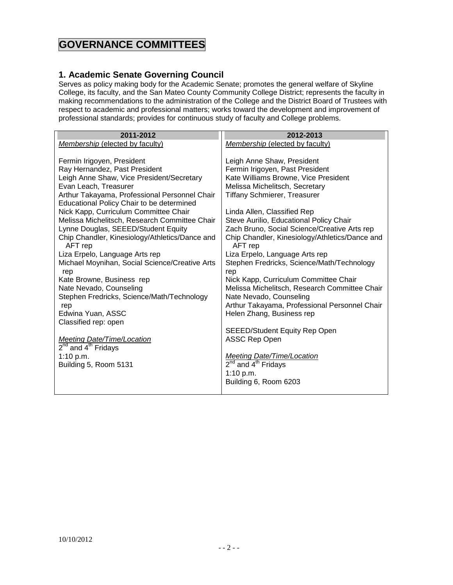# **GOVERNANCE COMMITTEES**

#### <span id="page-1-0"></span>**1. Academic Senate Governing Council**

Serves as policy making body for the Academic Senate; promotes the general welfare of Skyline College, its faculty, and the San Mateo County Community College District; represents the faculty in making recommendations to the administration of the College and the District Board of Trustees with respect to academic and professional matters; works toward the development and improvement of professional standards; provides for continuous study of faculty and College problems.

| 2011-2012                                      | 2012-2013                                      |
|------------------------------------------------|------------------------------------------------|
| Membership (elected by faculty)                | Membership (elected by faculty)                |
|                                                |                                                |
| Fermin Irigoyen, President                     | Leigh Anne Shaw, President                     |
| Ray Hernandez, Past President                  | Fermin Irigoyen, Past President                |
| Leigh Anne Shaw, Vice President/Secretary      | Kate Williams Browne, Vice President           |
| Evan Leach, Treasurer                          | Melissa Michelitsch, Secretary                 |
| Arthur Takayama, Professional Personnel Chair  | <b>Tiffany Schmierer, Treasurer</b>            |
| Educational Policy Chair to be determined      |                                                |
| Nick Kapp, Curriculum Committee Chair          | Linda Allen, Classified Rep                    |
| Melissa Michelitsch, Research Committee Chair  | Steve Aurilio, Educational Policy Chair        |
| Lynne Douglas, SEEED/Student Equity            | Zach Bruno, Social Science/Creative Arts rep   |
| Chip Chandler, Kinesiology/Athletics/Dance and | Chip Chandler, Kinesiology/Athletics/Dance and |
| AFT rep                                        | AFT rep                                        |
| Liza Erpelo, Language Arts rep                 | Liza Erpelo, Language Arts rep                 |
| Michael Moynihan, Social Science/Creative Arts | Stephen Fredricks, Science/Math/Technology     |
| rep                                            | rep                                            |
| Kate Browne, Business rep                      | Nick Kapp, Curriculum Committee Chair          |
| Nate Nevado, Counseling                        | Melissa Michelitsch, Research Committee Chair  |
| Stephen Fredricks, Science/Math/Technology     | Nate Nevado, Counseling                        |
| rep                                            | Arthur Takayama, Professional Personnel Chair  |
| Edwina Yuan, ASSC                              | Helen Zhang, Business rep                      |
| Classified rep: open                           |                                                |
|                                                | <b>SEEED/Student Equity Rep Open</b>           |
| <b>Meeting Date/Time/Location</b>              | <b>ASSC Rep Open</b>                           |
| 2 <sup>nd</sup> and 4 <sup>th</sup> Fridays    |                                                |
| 1:10 p.m.                                      | <b>Meeting Date/Time/Location</b>              |
| Building 5, Room 5131                          | $2nd$ and $4th$ Fridays                        |
|                                                | 1:10 $p.m.$                                    |
|                                                | Building 6, Room 6203                          |
|                                                |                                                |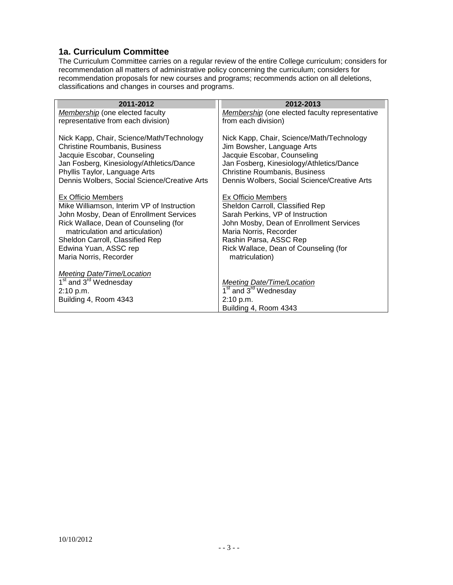#### <span id="page-2-0"></span>**1a. Curriculum Committee**

The Curriculum Committee carries on a regular review of the entire College curriculum; considers for recommendation all matters of administrative policy concerning the curriculum; considers for recommendation proposals for new courses and programs; recommends action on all deletions, classifications and changes in courses and programs.

| 2011-2012                                                                             | 2012-2013                                                           |
|---------------------------------------------------------------------------------------|---------------------------------------------------------------------|
| Membership (one elected faculty                                                       | Membership (one elected faculty representative                      |
| representative from each division)                                                    | from each division)                                                 |
|                                                                                       |                                                                     |
| Nick Kapp, Chair, Science/Math/Technology                                             | Nick Kapp, Chair, Science/Math/Technology                           |
| <b>Christine Roumbanis, Business</b>                                                  | Jim Bowsher, Language Arts                                          |
| Jacquie Escobar, Counseling                                                           | Jacquie Escobar, Counseling                                         |
| Jan Fosberg, Kinesiology/Athletics/Dance                                              | Jan Fosberg, Kinesiology/Athletics/Dance                            |
| Phyllis Taylor, Language Arts                                                         | Christine Roumbanis, Business                                       |
| Dennis Wolbers, Social Science/Creative Arts                                          | Dennis Wolbers, Social Science/Creative Arts                        |
|                                                                                       |                                                                     |
| <b>Ex Officio Members</b>                                                             | <b>Ex Officio Members</b>                                           |
| Mike Williamson, Interim VP of Instruction<br>John Mosby, Dean of Enrollment Services | Sheldon Carroll, Classified Rep<br>Sarah Perkins, VP of Instruction |
| Rick Wallace, Dean of Counseling (for                                                 | John Mosby, Dean of Enrollment Services                             |
| matriculation and articulation)                                                       | Maria Norris, Recorder                                              |
| Sheldon Carroll, Classified Rep                                                       | Rashin Parsa, ASSC Rep                                              |
| Edwina Yuan, ASSC rep                                                                 | Rick Wallace, Dean of Counseling (for                               |
| Maria Norris, Recorder                                                                | matriculation)                                                      |
|                                                                                       |                                                                     |
| Meeting Date/Time/Location                                                            |                                                                     |
| $\overline{1}^{st}$ and 3 <sup>rd</sup> Wednesday                                     | <b>Meeting Date/Time/Location</b>                                   |
| 2:10 p.m.                                                                             | 1 <sup>st</sup> and 3 <sup>rd</sup> Wednesday                       |
| Building 4, Room 4343                                                                 | 2:10 p.m.                                                           |
|                                                                                       | Building 4, Room 4343                                               |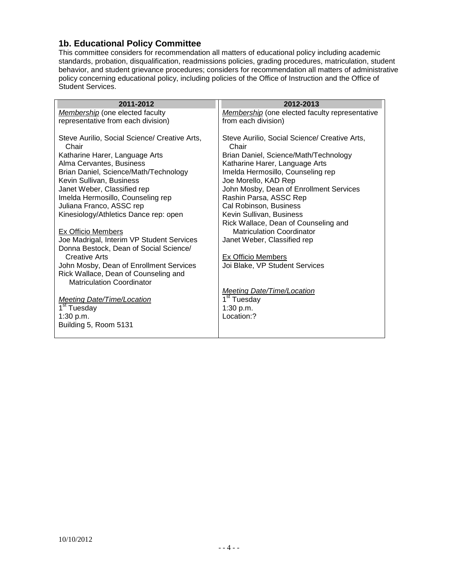# <span id="page-3-0"></span>**1b. Educational Policy Committee**

This committee considers for recommendation all matters of educational policy including academic standards, probation, disqualification, readmissions policies, grading procedures, matriculation, student behavior, and student grievance procedures; considers for recommendation all matters of administrative policy concerning educational policy, including policies of the Office of Instruction and the Office of Student Services.

| 2011-2012                                              | 2012-2013                                              |
|--------------------------------------------------------|--------------------------------------------------------|
| Membership (one elected faculty                        | <b>Membership</b> (one elected faculty representative  |
| representative from each division)                     | from each division)                                    |
|                                                        |                                                        |
| Steve Aurilio, Social Science/ Creative Arts,<br>Chair | Steve Aurilio, Social Science/ Creative Arts,<br>Chair |
| Katharine Harer, Language Arts                         | Brian Daniel, Science/Math/Technology                  |
| Alma Cervantes, Business                               | Katharine Harer, Language Arts                         |
| Brian Daniel, Science/Math/Technology                  | Imelda Hermosillo, Counseling rep                      |
| Kevin Sullivan, Business                               | Joe Morello, KAD Rep                                   |
| Janet Weber, Classified rep                            | John Mosby, Dean of Enrollment Services                |
| Imelda Hermosillo, Counseling rep                      | Rashin Parsa, ASSC Rep                                 |
| Juliana Franco, ASSC rep                               | Cal Robinson, Business                                 |
| Kinesiology/Athletics Dance rep: open                  | Kevin Sullivan, Business                               |
|                                                        | Rick Wallace, Dean of Counseling and                   |
| <b>Ex Officio Members</b>                              | <b>Matriculation Coordinator</b>                       |
| Joe Madrigal, Interim VP Student Services              | Janet Weber, Classified rep                            |
| Donna Bestock, Dean of Social Science/                 |                                                        |
| Creative Arts                                          | Ex Officio Members                                     |
| John Mosby, Dean of Enrollment Services                | Joi Blake, VP Student Services                         |
| Rick Wallace, Dean of Counseling and                   |                                                        |
| <b>Matriculation Coordinator</b>                       |                                                        |
|                                                        | Meeting Date/Time/Location                             |
| <b>Meeting Date/Time/Location</b>                      | 1 <sup>st</sup> Tuesday                                |
| 1 <sup>st</sup> Tuesday                                | 1:30 p.m.                                              |
| 1:30 p.m.                                              | Location:?                                             |
| Building 5, Room 5131                                  |                                                        |
|                                                        |                                                        |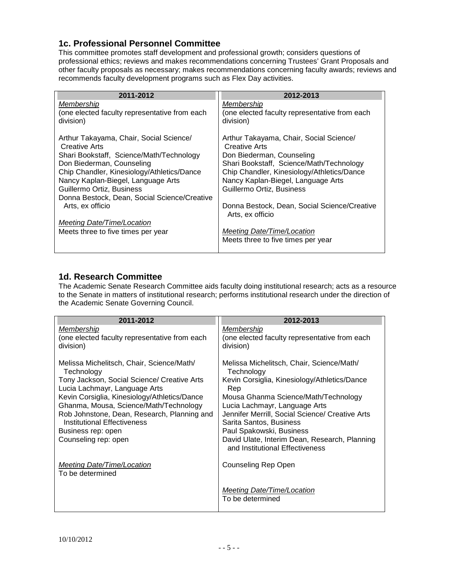#### <span id="page-4-0"></span>**1c. Professional Personnel Committee**

This committee promotes staff development and professional growth; considers questions of professional ethics; reviews and makes recommendations concerning Trustees' Grant Proposals and other faculty proposals as necessary; makes recommendations concerning faculty awards; reviews and recommends faculty development programs such as Flex Day activities.

| 2011-2012                                                       | 2012-2013                                                        |
|-----------------------------------------------------------------|------------------------------------------------------------------|
| Membership                                                      | Membership                                                       |
| (one elected faculty representative from each<br>division)      | (one elected faculty representative from each<br>division)       |
| Arthur Takayama, Chair, Social Science/<br><b>Creative Arts</b> | Arthur Takayama, Chair, Social Science/<br><b>Creative Arts</b>  |
| Shari Bookstaff, Science/Math/Technology                        | Don Biederman, Counseling                                        |
| Don Biederman, Counseling                                       | Shari Bookstaff, Science/Math/Technology                         |
| Chip Chandler, Kinesiology/Athletics/Dance                      | Chip Chandler, Kinesiology/Athletics/Dance                       |
| Nancy Kaplan-Biegel, Language Arts                              | Nancy Kaplan-Biegel, Language Arts                               |
| Guillermo Ortiz, Business                                       | Guillermo Ortiz, Business                                        |
| Donna Bestock, Dean, Social Science/Creative                    |                                                                  |
| Arts, ex officio                                                | Donna Bestock, Dean, Social Science/Creative<br>Arts, ex officio |
| Meeting Date/Time/Location                                      |                                                                  |
| Meets three to five times per year                              | Meeting Date/Time/Location                                       |
|                                                                 | Meets three to five times per year                               |

#### <span id="page-4-1"></span>**1d. Research Committee**

The Academic Senate Research Committee aids faculty doing institutional research; acts as a resource to the Senate in matters of institutional research; performs institutional research under the direction of the Academic Senate Governing Council.

| 2011-2012                                                                                                                                                                                                                                                                                                                                                     | 2012-2013                                                                                                                                                                                                                                                                                                                                                                             |
|---------------------------------------------------------------------------------------------------------------------------------------------------------------------------------------------------------------------------------------------------------------------------------------------------------------------------------------------------------------|---------------------------------------------------------------------------------------------------------------------------------------------------------------------------------------------------------------------------------------------------------------------------------------------------------------------------------------------------------------------------------------|
| Membership<br>(one elected faculty representative from each<br>division)                                                                                                                                                                                                                                                                                      | Membership<br>(one elected faculty representative from each<br>division)                                                                                                                                                                                                                                                                                                              |
| Melissa Michelitsch, Chair, Science/Math/<br>Technology<br>Tony Jackson, Social Science/ Creative Arts<br>Lucia Lachmayr, Language Arts<br>Kevin Corsiglia, Kinesiology/Athletics/Dance<br>Ghanma, Mousa, Science/Math/Technology<br>Rob Johnstone, Dean, Research, Planning and<br>Institutional Effectiveness<br>Business rep: open<br>Counseling rep: open | Melissa Michelitsch, Chair, Science/Math/<br>Technology<br>Kevin Corsiglia, Kinesiology/Athletics/Dance<br>Rep<br>Mousa Ghanma Science/Math/Technology<br>Lucia Lachmayr, Language Arts<br>Jennifer Merrill, Social Science/ Creative Arts<br>Sarita Santos, Business<br>Paul Spakowski, Business<br>David Ulate, Interim Dean, Research, Planning<br>and Institutional Effectiveness |
| Meeting Date/Time/Location<br>To be determined                                                                                                                                                                                                                                                                                                                | Counseling Rep Open                                                                                                                                                                                                                                                                                                                                                                   |
|                                                                                                                                                                                                                                                                                                                                                               | <b>Meeting Date/Time/Location</b><br>To be determined                                                                                                                                                                                                                                                                                                                                 |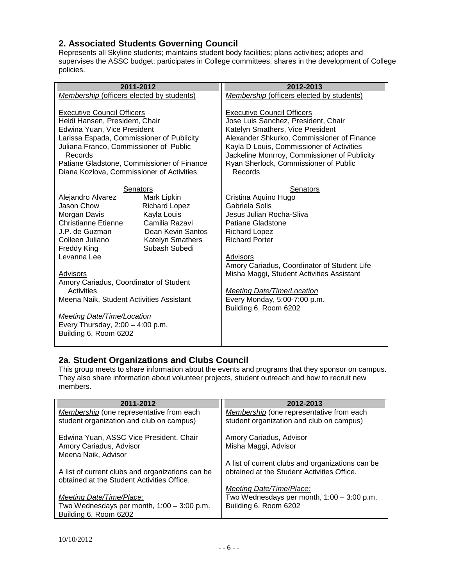## <span id="page-5-0"></span>**2. Associated Students Governing Council**

Represents all Skyline students; maintains student body facilities; plans activities; adopts and supervises the ASSC budget; participates in College committees; shares in the development of College policies.

| 2011-2012                                                                                                                                                                                                                                                                                                                                                                                                                                                                                                                 | 2012-2013                                                                                                                                                                                                                                                                                                                                                  |
|---------------------------------------------------------------------------------------------------------------------------------------------------------------------------------------------------------------------------------------------------------------------------------------------------------------------------------------------------------------------------------------------------------------------------------------------------------------------------------------------------------------------------|------------------------------------------------------------------------------------------------------------------------------------------------------------------------------------------------------------------------------------------------------------------------------------------------------------------------------------------------------------|
| Membership (officers elected by students)                                                                                                                                                                                                                                                                                                                                                                                                                                                                                 | Membership (officers elected by students)                                                                                                                                                                                                                                                                                                                  |
| <b>Executive Council Officers</b><br>Heidi Hansen, President, Chair<br>Edwina Yuan, Vice President<br>Larissa Espada, Commissioner of Publicity<br>Juliana Franco, Commissioner of Public<br>Records<br>Patiane Gladstone, Commissioner of Finance<br>Diana Kozlova, Commissioner of Activities                                                                                                                                                                                                                           | <b>Executive Council Officers</b><br>Jose Luis Sanchez, President, Chair<br>Katelyn Smathers, Vice President<br>Alexander Shkurko, Commissioner of Finance<br>Kayla D Louis, Commissioner of Activities<br>Jackeline Monrroy, Commissioner of Publicity<br>Ryan Sherlock, Commissioner of Public<br>Records                                                |
| <b>Senators</b><br>Alejandro Alvarez<br>Mark Lipkin<br>Jason Chow<br><b>Richard Lopez</b><br>Kayla Louis<br>Morgan Davis<br>Christianne Etienne<br>Camilia Razavi<br>J.P. de Guzman<br>Dean Kevin Santos<br>Colleen Juliano<br><b>Katelyn Smathers</b><br>Subash Subedi<br><b>Freddy King</b><br>Levanna Lee<br>Advisors<br>Amory Cariadus, Coordinator of Student<br>Activities<br>Meena Naik, Student Activities Assistant<br>Meeting Date/Time/Location<br>Every Thursday, $2:00 - 4:00$ p.m.<br>Building 6, Room 6202 | <b>Senators</b><br>Cristina Aquino Hugo<br>Gabriela Solis<br>Jesus Julian Rocha-Sliva<br>Patiane Gladstone<br><b>Richard Lopez</b><br><b>Richard Porter</b><br>Advisors<br>Amory Cariadus, Coordinator of Student Life<br>Misha Maggi, Student Activities Assistant<br>Meeting Date/Time/Location<br>Every Monday, 5:00-7:00 p.m.<br>Building 6, Room 6202 |

# <span id="page-5-1"></span>**2a. Student Organizations and Clubs Council**

This group meets to share information about the events and programs that they sponsor on campus. They also share information about volunteer projects, student outreach and how to recruit new members.

| 2011-2012                                        | 2012-2013                                        |
|--------------------------------------------------|--------------------------------------------------|
| Membership (one representative from each         | Membership (one representative from each         |
| student organization and club on campus)         | student organization and club on campus)         |
| Edwina Yuan, ASSC Vice President, Chair          | Amory Cariadus, Advisor                          |
| Amory Cariadus, Advisor<br>Meena Naik, Advisor   | Misha Maggi, Advisor                             |
|                                                  | A list of current clubs and organizations can be |
| A list of current clubs and organizations can be | obtained at the Student Activities Office.       |
| obtained at the Student Activities Office.       |                                                  |
|                                                  | Meeting Date/Time/Place:                         |
| Meeting Date/Time/Place:                         | Two Wednesdays per month, $1:00 - 3:00$ p.m.     |
| Two Wednesdays per month, $1:00 - 3:00$ p.m.     | Building 6, Room 6202                            |
| Building 6, Room 6202                            |                                                  |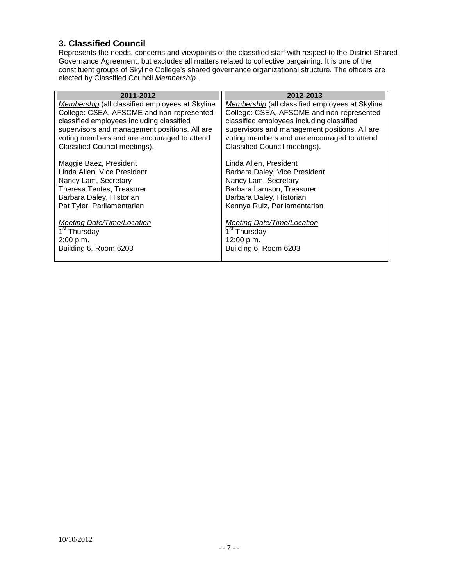# <span id="page-6-0"></span>**3. Classified Council**

Represents the needs, concerns and viewpoints of the classified staff with respect to the District Shared Governance Agreement, but excludes all matters related to collective bargaining. It is one of the constituent groups of Skyline College's shared governance organizational structure. The officers are elected by Classified Council *Membership*.

| 2011-2012                                       | 2012-2013                                       |
|-------------------------------------------------|-------------------------------------------------|
| Membership (all classified employees at Skyline | Membership (all classified employees at Skyline |
| College: CSEA, AFSCME and non-represented       | College: CSEA, AFSCME and non-represented       |
| classified employees including classified       | classified employees including classified       |
| supervisors and management positions. All are   | supervisors and management positions. All are   |
| voting members and are encouraged to attend     | voting members and are encouraged to attend     |
| Classified Council meetings).                   | Classified Council meetings).                   |
| Maggie Baez, President                          | Linda Allen, President                          |
| Linda Allen, Vice President                     | Barbara Daley, Vice President                   |
| Nancy Lam, Secretary                            | Nancy Lam, Secretary                            |
| Theresa Tentes, Treasurer                       | Barbara Lamson, Treasurer                       |
| Barbara Daley, Historian                        | Barbara Daley, Historian                        |
| Pat Tyler, Parliamentarian                      | Kennya Ruiz, Parliamentarian                    |
| Meeting Date/Time/Location                      | Meeting Date/Time/Location                      |
| 1 <sup>st</sup> Thursday                        | 1 <sup>st</sup> Thursday                        |
| 2:00 p.m.                                       | 12:00 p.m.                                      |
| Building 6, Room 6203                           | Building 6, Room 6203                           |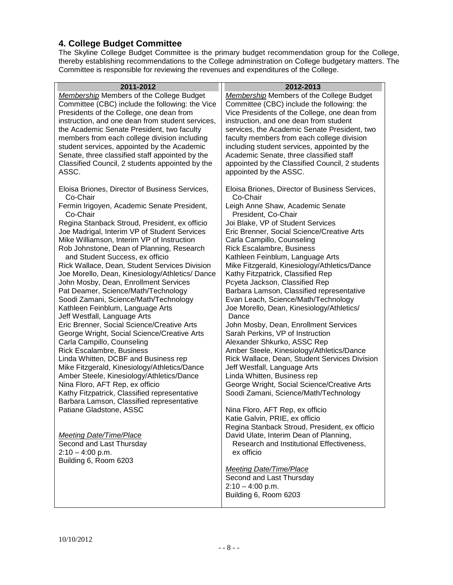# <span id="page-7-0"></span>**4. College Budget Committee**

The Skyline College Budget Committee is the primary budget recommendation group for the College, thereby establishing recommendations to the College administration on College budgetary matters. The Committee is responsible for reviewing the revenues and expenditures of the College.

| 2011-2012                                                                  | 2012-2013                                          |
|----------------------------------------------------------------------------|----------------------------------------------------|
| Membership Members of the College Budget                                   | <b>Membership Members of the College Budget</b>    |
| Committee (CBC) include the following: the Vice                            | Committee (CBC) include the following: the         |
| Presidents of the College, one dean from                                   | Vice Presidents of the College, one dean from      |
| instruction, and one dean from student services,                           | instruction, and one dean from student             |
| the Academic Senate President, two faculty                                 | services, the Academic Senate President, two       |
| members from each college division including                               | faculty members from each college division         |
| student services, appointed by the Academic                                | including student services, appointed by the       |
| Senate, three classified staff appointed by the                            | Academic Senate, three classified staff            |
| Classified Council, 2 students appointed by the                            | appointed by the Classified Council, 2 students    |
| ASSC.                                                                      | appointed by the ASSC.                             |
|                                                                            |                                                    |
| Eloisa Briones, Director of Business Services,                             | Eloisa Briones, Director of Business Services,     |
| Co-Chair                                                                   | Co-Chair                                           |
| Fermin Irigoyen, Academic Senate President,                                | Leigh Anne Shaw, Academic Senate                   |
| Co-Chair                                                                   | President, Co-Chair                                |
| Regina Stanback Stroud, President, ex officio                              | Joi Blake, VP of Student Services                  |
| Joe Madrigal, Interim VP of Student Services                               | Eric Brenner, Social Science/Creative Arts         |
| Mike Williamson, Interim VP of Instruction                                 | Carla Campillo, Counseling                         |
| Rob Johnstone, Dean of Planning, Research                                  | <b>Rick Escalambre, Business</b>                   |
| and Student Success, ex officio                                            | Kathleen Feinblum, Language Arts                   |
| Rick Wallace, Dean, Student Services Division                              | Mike Fitzgerald, Kinesiology/Athletics/Dance       |
| Joe Morello, Dean, Kinesiology/Athletics/Dance                             | Kathy Fitzpatrick, Classified Rep                  |
| John Mosby, Dean, Enrollment Services                                      | Pcyeta Jackson, Classified Rep                     |
| Pat Deamer, Science/Math/Technology                                        | Barbara Lamson, Classified representative          |
| Soodi Zamani, Science/Math/Technology                                      | Evan Leach, Science/Math/Technology                |
| Kathleen Feinblum, Language Arts                                           | Joe Morello, Dean, Kinesiology/Athletics/<br>Dance |
| Jeff Westfall, Language Arts<br>Eric Brenner, Social Science/Creative Arts | John Mosby, Dean, Enrollment Services              |
| George Wright, Social Science/Creative Arts                                | Sarah Perkins, VP of Instruction                   |
| Carla Campillo, Counseling                                                 | Alexander Shkurko, ASSC Rep                        |
| Rick Escalambre, Business                                                  | Amber Steele, Kinesiology/Athletics/Dance          |
| Linda Whitten, DCBF and Business rep                                       | Rick Wallace, Dean, Student Services Division      |
| Mike Fitzgerald, Kinesiology/Athletics/Dance                               | Jeff Westfall, Language Arts                       |
| Amber Steele, Kinesiology/Athletics/Dance                                  | Linda Whitten, Business rep                        |
| Nina Floro, AFT Rep, ex officio                                            | George Wright, Social Science/Creative Arts        |
| Kathy Fitzpatrick, Classified representative                               | Soodi Zamani, Science/Math/Technology              |
| Barbara Lamson, Classified representative                                  |                                                    |
| Patiane Gladstone, ASSC                                                    | Nina Floro, AFT Rep, ex officio                    |
|                                                                            | Katie Galvin, PRIE, ex officio                     |
|                                                                            | Regina Stanback Stroud, President, ex officio      |
| Meeting Date/Time/Place                                                    | David Ulate, Interim Dean of Planning,             |
| Second and Last Thursday                                                   | Research and Institutional Effectiveness,          |
| $2:10 - 4:00$ p.m.                                                         | ex officio                                         |
| Building 6, Room 6203                                                      |                                                    |
|                                                                            | <b>Meeting Date/Time/Place</b>                     |
|                                                                            | Second and Last Thursday                           |
|                                                                            | $2:10 - 4:00$ p.m.                                 |
|                                                                            | Building 6, Room 6203                              |
|                                                                            |                                                    |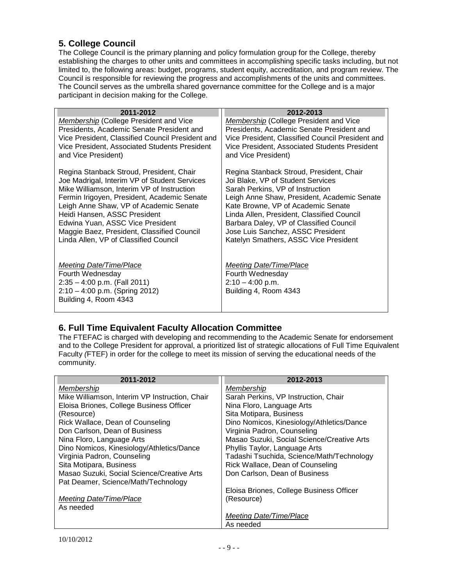# <span id="page-8-0"></span>**5. College Council**

The College Council is the primary planning and policy formulation group for the College, thereby establishing the charges to other units and committees in accomplishing specific tasks including, but not limited to, the following areas: budget, programs, student equity, accreditation, and program review. The Council is responsible for reviewing the progress and accomplishments of the units and committees. The Council serves as the umbrella shared governance committee for the College and is a major participant in decision making for the College.

| 2011-2012                                                                                     | 2012-2013                                                                                         |
|-----------------------------------------------------------------------------------------------|---------------------------------------------------------------------------------------------------|
| <b>Membership (College President and Vice</b>                                                 | Membership (College President and Vice                                                            |
| Presidents, Academic Senate President and<br>Vice President, Classified Council President and | Presidents, Academic Senate President and                                                         |
| Vice President, Associated Students President                                                 | Vice President, Classified Council President and<br>Vice President, Associated Students President |
| and Vice President)                                                                           | and Vice President)                                                                               |
| Regina Stanback Stroud, President, Chair                                                      | Regina Stanback Stroud, President, Chair                                                          |
| Joe Madrigal, Interim VP of Student Services                                                  | Joi Blake, VP of Student Services                                                                 |
| Mike Williamson, Interim VP of Instruction<br>Fermin Irigoyen, President, Academic Senate     | Sarah Perkins, VP of Instruction<br>Leigh Anne Shaw, President, Academic Senate                   |
| Leigh Anne Shaw, VP of Academic Senate                                                        | Kate Browne, VP of Academic Senate                                                                |
| Heidi Hansen, ASSC President                                                                  | Linda Allen, President, Classified Council                                                        |
| Edwina Yuan, ASSC Vice President                                                              | Barbara Daley, VP of Classified Council                                                           |
| Maggie Baez, President, Classified Council                                                    | Jose Luis Sanchez, ASSC President                                                                 |
| Linda Allen, VP of Classified Council                                                         | Katelyn Smathers, ASSC Vice President                                                             |
|                                                                                               |                                                                                                   |
| Meeting Date/Time/Place                                                                       | Meeting Date/Time/Place                                                                           |
| Fourth Wednesday                                                                              | Fourth Wednesday                                                                                  |
| $2:35 - 4:00$ p.m. (Fall 2011)                                                                | $2:10 - 4:00$ p.m.                                                                                |
| $2:10 - 4:00$ p.m. (Spring 2012)<br>Building 4, Room 4343                                     | Building 4, Room 4343                                                                             |
|                                                                                               |                                                                                                   |

# <span id="page-8-1"></span>**6. Full Time Equivalent Faculty Allocation Committee**

The FTEFAC is charged with developing and recommending to the Academic Senate for endorsement and to the College President for approval, a prioritized list of strategic allocations of Full Time Equivalent Faculty *(*FTEF) in order for the college to meet its mission of serving the educational needs of the community.

| 2011-2012                                      | 2012-2013                                  |
|------------------------------------------------|--------------------------------------------|
| Membership                                     | Membership                                 |
| Mike Williamson, Interim VP Instruction, Chair | Sarah Perkins, VP Instruction, Chair       |
| Eloisa Briones, College Business Officer       | Nina Floro, Language Arts                  |
| (Resource)                                     | Sita Motipara, Business                    |
| Rick Wallace, Dean of Counseling               | Dino Nomicos, Kinesiology/Athletics/Dance  |
| Don Carlson, Dean of Business                  | Virginia Padron, Counseling                |
| Nina Floro, Language Arts                      | Masao Suzuki, Social Science/Creative Arts |
| Dino Nomicos, Kinesiology/Athletics/Dance      | Phyllis Taylor, Language Arts              |
| Virginia Padron, Counseling                    | Tadashi Tsuchida, Science/Math/Technology  |
| Sita Motipara, Business                        | Rick Wallace, Dean of Counseling           |
| Masao Suzuki, Social Science/Creative Arts     | Don Carlson, Dean of Business              |
| Pat Deamer, Science/Math/Technology            |                                            |
|                                                | Eloisa Briones, College Business Officer   |
| Meeting Date/Time/Place                        | (Resource)                                 |
| As needed                                      |                                            |
|                                                | Meeting Date/Time/Place                    |
|                                                | As needed                                  |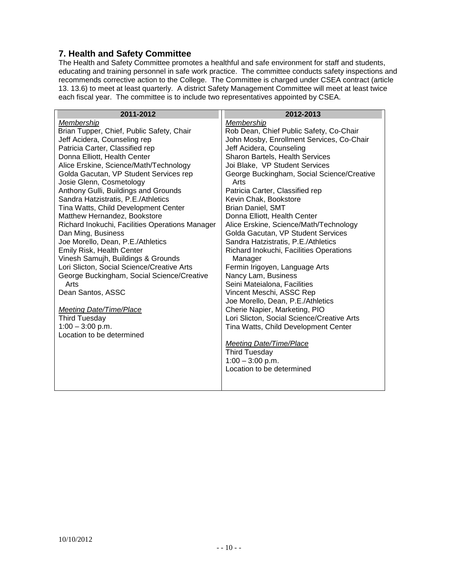#### <span id="page-9-0"></span>**7. Health and Safety Committee**

The Health and Safety Committee promotes a healthful and safe environment for staff and students, educating and training personnel in safe work practice. The committee conducts safety inspections and recommends corrective action to the College. The Committee is charged under CSEA contract (article 13. 13.6) to meet at least quarterly. A district Safety Management Committee will meet at least twice each fiscal year. The committee is to include two representatives appointed by CSEA.

| 2011-2012                                                                        | 2012-2013                                          |
|----------------------------------------------------------------------------------|----------------------------------------------------|
| Membership                                                                       | Membership                                         |
| Brian Tupper, Chief, Public Safety, Chair                                        | Rob Dean, Chief Public Safety, Co-Chair            |
| Jeff Acidera, Counseling rep                                                     | John Mosby, Enrollment Services, Co-Chair          |
| Patricia Carter, Classified rep                                                  | Jeff Acidera, Counseling                           |
| Donna Elliott, Health Center                                                     | Sharon Bartels, Health Services                    |
| Alice Erskine, Science/Math/Technology<br>Golda Gacutan, VP Student Services rep | Joi Blake, VP Student Services                     |
| Josie Glenn, Cosmetology                                                         | George Buckingham, Social Science/Creative<br>Arts |
| Anthony Gulli, Buildings and Grounds                                             | Patricia Carter, Classified rep                    |
| Sandra Hatzistratis, P.E./Athletics                                              | Kevin Chak, Bookstore                              |
| Tina Watts, Child Development Center                                             | <b>Brian Daniel, SMT</b>                           |
| Matthew Hernandez, Bookstore                                                     | Donna Elliott, Health Center                       |
| Richard Inokuchi, Facilities Operations Manager                                  | Alice Erskine, Science/Math/Technology             |
| Dan Ming, Business                                                               | Golda Gacutan, VP Student Services                 |
| Joe Morello, Dean, P.E./Athletics                                                | Sandra Hatzistratis, P.E./Athletics                |
| Emily Risk, Health Center                                                        | Richard Inokuchi, Facilities Operations            |
| Vinesh Samujh, Buildings & Grounds                                               | Manager                                            |
| Lori Slicton, Social Science/Creative Arts                                       | Fermin Irigoyen, Language Arts                     |
| George Buckingham, Social Science/Creative                                       | Nancy Lam, Business                                |
| Arts                                                                             | Seini Mateialona, Facilities                       |
| Dean Santos, ASSC                                                                | Vincent Meschi, ASSC Rep                           |
|                                                                                  | Joe Morello, Dean, P.E./Athletics                  |
| <b>Meeting Date/Time/Place</b>                                                   | Cherie Napier, Marketing, PIO                      |
| <b>Third Tuesday</b>                                                             | Lori Slicton, Social Science/Creative Arts         |
| $1:00 - 3:00$ p.m.                                                               | Tina Watts, Child Development Center               |
| Location to be determined                                                        |                                                    |
|                                                                                  | Meeting Date/Time/Place                            |
|                                                                                  | <b>Third Tuesday</b>                               |
|                                                                                  | $1:00 - 3:00$ p.m.                                 |
|                                                                                  | Location to be determined                          |
|                                                                                  |                                                    |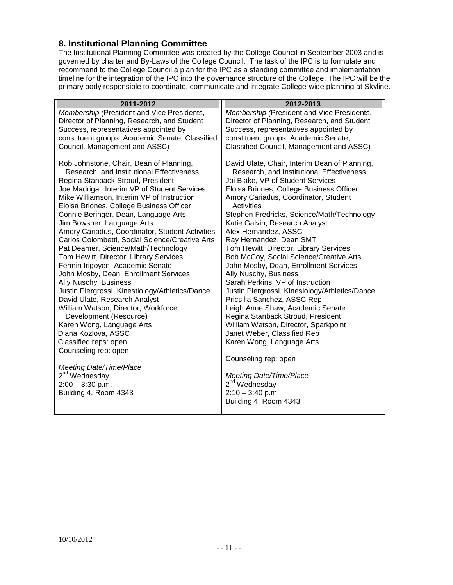#### <span id="page-10-0"></span>**8. Institutional Planning Committee**

The Institutional Planning Committee was created by the College Council in September 2003 and is governed by charter and By-Laws of the College Council. The task of the IPC is to formulate and recommend to the College Council a plan for the IPC as a standing committee and implementation timeline for the integration of the IPC into the governance structure of the College. The IPC will be the primary body responsible to coordinate, communicate and integrate College-wide planning at Skyline.

| 2011-2012                                                                                                                                                                                                                                                                                                                                                                                                                                                                                                                                                                                                                                                                                                                                                                                                                                                                                                                         | 2012-2013                                                                                                                                                                                                                                                                                                                                                                                                                                                                                                                                                                                                                                                                                                                                                                                                                                                                                         |
|-----------------------------------------------------------------------------------------------------------------------------------------------------------------------------------------------------------------------------------------------------------------------------------------------------------------------------------------------------------------------------------------------------------------------------------------------------------------------------------------------------------------------------------------------------------------------------------------------------------------------------------------------------------------------------------------------------------------------------------------------------------------------------------------------------------------------------------------------------------------------------------------------------------------------------------|---------------------------------------------------------------------------------------------------------------------------------------------------------------------------------------------------------------------------------------------------------------------------------------------------------------------------------------------------------------------------------------------------------------------------------------------------------------------------------------------------------------------------------------------------------------------------------------------------------------------------------------------------------------------------------------------------------------------------------------------------------------------------------------------------------------------------------------------------------------------------------------------------|
| Membership (President and Vice Presidents,                                                                                                                                                                                                                                                                                                                                                                                                                                                                                                                                                                                                                                                                                                                                                                                                                                                                                        | Membership (President and Vice Presidents,                                                                                                                                                                                                                                                                                                                                                                                                                                                                                                                                                                                                                                                                                                                                                                                                                                                        |
| Director of Planning, Research, and Student                                                                                                                                                                                                                                                                                                                                                                                                                                                                                                                                                                                                                                                                                                                                                                                                                                                                                       | Director of Planning, Research, and Student                                                                                                                                                                                                                                                                                                                                                                                                                                                                                                                                                                                                                                                                                                                                                                                                                                                       |
| Success, representatives appointed by                                                                                                                                                                                                                                                                                                                                                                                                                                                                                                                                                                                                                                                                                                                                                                                                                                                                                             | Success, representatives appointed by                                                                                                                                                                                                                                                                                                                                                                                                                                                                                                                                                                                                                                                                                                                                                                                                                                                             |
| constituent groups: Academic Senate, Classified                                                                                                                                                                                                                                                                                                                                                                                                                                                                                                                                                                                                                                                                                                                                                                                                                                                                                   | constituent groups: Academic Senate,                                                                                                                                                                                                                                                                                                                                                                                                                                                                                                                                                                                                                                                                                                                                                                                                                                                              |
|                                                                                                                                                                                                                                                                                                                                                                                                                                                                                                                                                                                                                                                                                                                                                                                                                                                                                                                                   |                                                                                                                                                                                                                                                                                                                                                                                                                                                                                                                                                                                                                                                                                                                                                                                                                                                                                                   |
| Council, Management and ASSC)<br>Rob Johnstone, Chair, Dean of Planning,<br>Research, and Institutional Effectiveness<br>Regina Stanback Stroud, President<br>Joe Madrigal, Interim VP of Student Services<br>Mike Williamson, Interim VP of Instruction<br>Eloisa Briones, College Business Officer<br>Connie Beringer, Dean, Language Arts<br>Jim Bowsher, Language Arts<br>Amory Cariadus, Coordinator, Student Activities<br>Carlos Colombetti, Social Science/Creative Arts<br>Pat Deamer, Science/Math/Technology<br>Tom Hewitt, Director, Library Services<br>Fermin Irigoyen, Academic Senate<br>John Mosby, Dean, Enrollment Services<br>Ally Nuschy, Business<br>Justin Piergrossi, Kinestiology/Athletics/Dance<br>David Ulate, Research Analyst<br>William Watson, Director, Workforce<br>Development (Resource)<br>Karen Wong, Language Arts<br>Diana Kozlova, ASSC<br>Classified reps: open<br>Counseling rep: open | Classified Council, Management and ASSC)<br>David Ulate, Chair, Interim Dean of Planning,<br>Research, and Institutional Effectiveness<br>Joi Blake, VP of Student Services<br>Eloisa Briones, College Business Officer<br>Amory Cariadus, Coordinator, Student<br>Activities<br>Stephen Fredricks, Science/Math/Technology<br>Katie Galvin, Research Analyst<br>Alex Hernandez, ASSC<br>Ray Hernandez, Dean SMT<br>Tom Hewitt, Director, Library Services<br>Bob McCoy, Social Science/Creative Arts<br>John Mosby, Dean, Enrollment Services<br>Ally Nuschy, Business<br>Sarah Perkins, VP of Instruction<br>Justin Piergrossi, Kinesiology/Athletics/Dance<br>Pricsilla Sanchez, ASSC Rep<br>Leigh Anne Shaw, Academic Senate<br>Regina Stanback Stroud, President<br>William Watson, Director, Sparkpoint<br>Janet Weber, Classified Rep<br>Karen Wong, Language Arts<br>Counseling rep: open |
| Meeting Date/Time/Place                                                                                                                                                                                                                                                                                                                                                                                                                                                                                                                                                                                                                                                                                                                                                                                                                                                                                                           |                                                                                                                                                                                                                                                                                                                                                                                                                                                                                                                                                                                                                                                                                                                                                                                                                                                                                                   |
| 2 <sup>nd</sup> Wednesday                                                                                                                                                                                                                                                                                                                                                                                                                                                                                                                                                                                                                                                                                                                                                                                                                                                                                                         | <b>Meeting Date/Time/Place</b>                                                                                                                                                                                                                                                                                                                                                                                                                                                                                                                                                                                                                                                                                                                                                                                                                                                                    |
| $2:00 - 3:30$ p.m.                                                                                                                                                                                                                                                                                                                                                                                                                                                                                                                                                                                                                                                                                                                                                                                                                                                                                                                | 2 <sup>nd</sup> Wednesday                                                                                                                                                                                                                                                                                                                                                                                                                                                                                                                                                                                                                                                                                                                                                                                                                                                                         |
| Building 4, Room 4343                                                                                                                                                                                                                                                                                                                                                                                                                                                                                                                                                                                                                                                                                                                                                                                                                                                                                                             | $2:10 - 3:40$ p.m.<br>Building 4, Room 4343                                                                                                                                                                                                                                                                                                                                                                                                                                                                                                                                                                                                                                                                                                                                                                                                                                                       |
|                                                                                                                                                                                                                                                                                                                                                                                                                                                                                                                                                                                                                                                                                                                                                                                                                                                                                                                                   |                                                                                                                                                                                                                                                                                                                                                                                                                                                                                                                                                                                                                                                                                                                                                                                                                                                                                                   |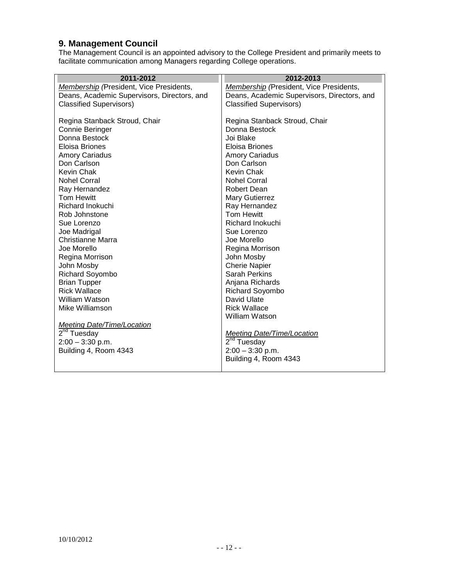#### <span id="page-11-0"></span>**9. Management Council**

The Management Council is an appointed advisory to the College President and primarily meets to facilitate communication among Managers regarding College operations.

| 2011-2012                                   | 2012-2013                                   |
|---------------------------------------------|---------------------------------------------|
| Membership (President, Vice Presidents,     | Membership (President, Vice Presidents,     |
| Deans, Academic Supervisors, Directors, and | Deans, Academic Supervisors, Directors, and |
| <b>Classified Supervisors)</b>              | <b>Classified Supervisors)</b>              |
|                                             |                                             |
| Regina Stanback Stroud, Chair               | Regina Stanback Stroud, Chair               |
| Connie Beringer                             | Donna Bestock                               |
| Donna Bestock                               | Joi Blake                                   |
| Eloisa Briones                              | Eloisa Briones                              |
| <b>Amory Cariadus</b>                       | <b>Amory Cariadus</b>                       |
| Don Carlson                                 | Don Carlson                                 |
| Kevin Chak                                  | Kevin Chak                                  |
| <b>Nohel Corral</b>                         | Nohel Corral                                |
| Ray Hernandez                               | Robert Dean                                 |
| <b>Tom Hewitt</b>                           | <b>Mary Gutierrez</b>                       |
| Richard Inokuchi                            | Ray Hernandez                               |
| Rob Johnstone                               | <b>Tom Hewitt</b>                           |
| Sue Lorenzo                                 | Richard Inokuchi                            |
| Joe Madrigal                                | Sue Lorenzo                                 |
| Christianne Marra                           | Joe Morello                                 |
| Joe Morello                                 | Regina Morrison                             |
| Regina Morrison                             | John Mosby                                  |
| John Mosby                                  | <b>Cherie Napier</b>                        |
| <b>Richard Soyombo</b>                      | <b>Sarah Perkins</b>                        |
| <b>Brian Tupper</b>                         | Anjana Richards                             |
| <b>Rick Wallace</b>                         | Richard Soyombo                             |
| William Watson                              | David Ulate                                 |
| Mike Williamson                             | <b>Rick Wallace</b>                         |
|                                             | <b>William Watson</b>                       |
| <b>Meeting Date/Time/Location</b>           |                                             |
| $2nd$ Tuesday                               | <b>Meeting Date/Time/Location</b>           |
| $2:00 - 3:30$ p.m.                          | $2nd$ Tuesday                               |
| Building 4, Room 4343                       | $2:00 - 3:30$ p.m.                          |
|                                             | Building 4, Room 4343                       |
|                                             |                                             |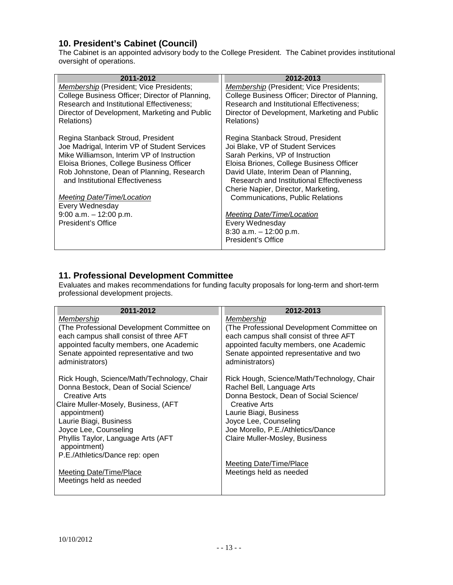# <span id="page-12-0"></span>**10. President's Cabinet (Council)**

The Cabinet is an appointed advisory body to the College President. The Cabinet provides institutional oversight of operations.

| 2012-2013                                       |
|-------------------------------------------------|
| Membership (President; Vice Presidents;         |
| College Business Officer; Director of Planning, |
| Research and Institutional Effectiveness;       |
| Director of Development, Marketing and Public   |
| Relations)                                      |
|                                                 |
| Regina Stanback Stroud, President               |
| Joi Blake, VP of Student Services               |
| Sarah Perkins, VP of Instruction                |
| Eloisa Briones, College Business Officer        |
| David Ulate, Interim Dean of Planning,          |
| <b>Research and Institutional Effectiveness</b> |
| Cherie Napier, Director, Marketing,             |
| <b>Communications, Public Relations</b>         |
|                                                 |
| Meeting Date/Time/Location                      |
| Every Wednesday                                 |
| $8:30$ a.m. $-12:00$ p.m.                       |
| President's Office                              |
|                                                 |

#### <span id="page-12-1"></span>**11. Professional Development Committee**

Evaluates and makes recommendations for funding faculty proposals for long-term and short-term professional development projects.

| 2011-2012                                                                                                                                                                                                   | 2012-2013                                                                                                                                                                                                   |
|-------------------------------------------------------------------------------------------------------------------------------------------------------------------------------------------------------------|-------------------------------------------------------------------------------------------------------------------------------------------------------------------------------------------------------------|
| Membership<br>(The Professional Development Committee on<br>each campus shall consist of three AFT<br>appointed faculty members, one Academic<br>Senate appointed representative and two<br>administrators) | Membership<br>(The Professional Development Committee on<br>each campus shall consist of three AFT<br>appointed faculty members, one Academic<br>Senate appointed representative and two<br>administrators) |
| Rick Hough, Science/Math/Technology, Chair<br>Donna Bestock, Dean of Social Science/<br>Creative Arts                                                                                                       | Rick Hough, Science/Math/Technology, Chair<br>Rachel Bell, Language Arts<br>Donna Bestock, Dean of Social Science/                                                                                          |
| Claire Muller-Mosely, Business, (AFT<br>appointment)                                                                                                                                                        | Creative Arts<br>Laurie Biagi, Business                                                                                                                                                                     |
| Laurie Biagi, Business                                                                                                                                                                                      | Joyce Lee, Counseling                                                                                                                                                                                       |
| Joyce Lee, Counseling                                                                                                                                                                                       | Joe Morello, P.E./Athletics/Dance                                                                                                                                                                           |
| Phyllis Taylor, Language Arts (AFT<br>appointment)                                                                                                                                                          | Claire Muller-Mosley, Business                                                                                                                                                                              |
| P.E./Athletics/Dance rep: open                                                                                                                                                                              |                                                                                                                                                                                                             |
| <b>Meeting Date/Time/Place</b><br>Meetings held as needed                                                                                                                                                   | Meeting Date/Time/Place<br>Meetings held as needed                                                                                                                                                          |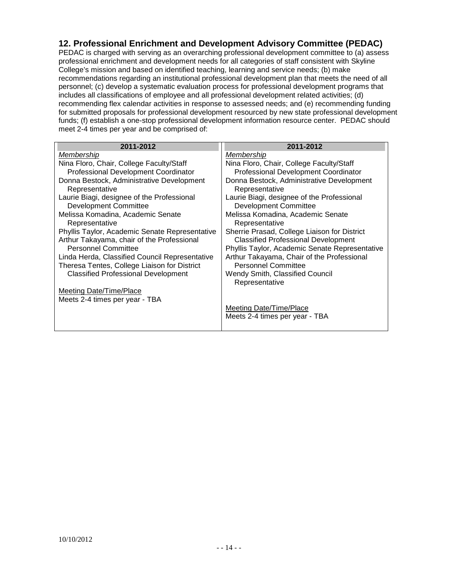#### <span id="page-13-0"></span>**12. Professional Enrichment and Development Advisory Committee (PEDAC)**

PEDAC is charged with serving as an overarching professional development committee to (a) assess professional enrichment and development needs for all categories of staff consistent with Skyline College's mission and based on identified teaching, learning and service needs; (b) make recommendations regarding an institutional professional development plan that meets the need of all personnel; (c) develop a systematic evaluation process for professional development programs that includes all classifications of employee and all professional development related activities; (d) recommending flex calendar activities in response to assessed needs; and (e) recommending funding for submitted proposals for professional development resourced by new state professional development funds; (f) establish a one-stop professional development information resource center. PEDAC should meet 2-4 times per year and be comprised of:

| 2011-2012                                      | 2011-2012                                      |
|------------------------------------------------|------------------------------------------------|
| <u>Membership</u>                              | <u>Membership</u>                              |
| Nina Floro, Chair, College Faculty/Staff       | Nina Floro, Chair, College Faculty/Staff       |
| <b>Professional Development Coordinator</b>    | <b>Professional Development Coordinator</b>    |
| Donna Bestock, Administrative Development      | Donna Bestock, Administrative Development      |
| Representative                                 | Representative                                 |
| Laurie Biagi, designee of the Professional     | Laurie Biagi, designee of the Professional     |
| <b>Development Committee</b>                   | <b>Development Committee</b>                   |
| Melissa Komadina, Academic Senate              | Melissa Komadina, Academic Senate              |
| Representative                                 | Representative                                 |
| Phyllis Taylor, Academic Senate Representative | Sherrie Prasad, College Liaison for District   |
| Arthur Takayama, chair of the Professional     | <b>Classified Professional Development</b>     |
| <b>Personnel Committee</b>                     | Phyllis Taylor, Academic Senate Representative |
| Linda Herda, Classified Council Representative | Arthur Takayama, Chair of the Professional     |
| Theresa Tentes, College Liaison for District   | <b>Personnel Committee</b>                     |
| <b>Classified Professional Development</b>     | Wendy Smith, Classified Council                |
|                                                | Representative                                 |
| <b>Meeting Date/Time/Place</b>                 |                                                |
| Meets 2-4 times per year - TBA                 |                                                |
|                                                | <b>Meeting Date/Time/Place</b>                 |
|                                                | Meets 2-4 times per year - TBA                 |
|                                                |                                                |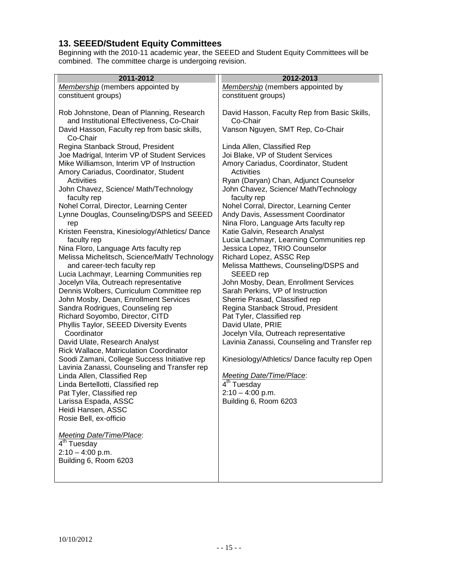### <span id="page-14-0"></span>**13. SEEED/Student Equity Committees**

Beginning with the 2010-11 academic year, the SEEED and Student Equity Committees will be combined. The committee charge is undergoing revision.

| 2011-2012                                                                          | 2012-2013                                                  |
|------------------------------------------------------------------------------------|------------------------------------------------------------|
| Membership (members appointed by                                                   | Membership (members appointed by                           |
| constituent groups)                                                                | constituent groups)                                        |
| Rob Johnstone, Dean of Planning, Research                                          | David Hasson, Faculty Rep from Basic Skills,               |
| and Institutional Effectiveness, Co-Chair                                          | Co-Chair                                                   |
| David Hasson, Faculty rep from basic skills,<br>Co-Chair                           | Vanson Nguyen, SMT Rep, Co-Chair                           |
| Regina Stanback Stroud, President                                                  | Linda Allen, Classified Rep                                |
| Joe Madrigal, Interim VP of Student Services                                       | Joi Blake, VP of Student Services                          |
| Mike Williamson, Interim VP of Instruction<br>Amory Cariadus, Coordinator, Student | Amory Cariadus, Coordinator, Student<br>Activities         |
| Activities                                                                         | Ryan (Daryan) Chan, Adjunct Counselor                      |
| John Chavez, Science/ Math/Technology<br>faculty rep                               | John Chavez, Science/ Math/Technology<br>faculty rep       |
| Nohel Corral, Director, Learning Center                                            | Nohel Corral, Director, Learning Center                    |
| Lynne Douglas, Counseling/DSPS and SEEED                                           | Andy Davis, Assessment Coordinator                         |
| rep                                                                                | Nina Floro, Language Arts faculty rep                      |
| Kristen Feenstra, Kinesiology/Athletics/Dance                                      | Katie Galvin, Research Analyst                             |
| faculty rep                                                                        | Lucia Lachmayr, Learning Communities rep                   |
| Nina Floro, Language Arts faculty rep                                              | Jessica Lopez, TRIO Counselor<br>Richard Lopez, ASSC Rep   |
| Melissa Michelitsch, Science/Math/ Technology<br>and career-tech faculty rep       | Melissa Matthews, Counseling/DSPS and                      |
| Lucia Lachmayr, Learning Communities rep                                           | SEEED rep                                                  |
| Jocelyn Vila, Outreach representative                                              | John Mosby, Dean, Enrollment Services                      |
| Dennis Wolbers, Curriculum Committee rep                                           | Sarah Perkins, VP of Instruction                           |
| John Mosby, Dean, Enrollment Services                                              | Sherrie Prasad, Classified rep                             |
| Sandra Rodrigues, Counseling rep                                                   | Regina Stanback Stroud, President                          |
| Richard Soyombo, Director, CITD                                                    | Pat Tyler, Classified rep                                  |
| Phyllis Taylor, SEEED Diversity Events<br>Coordinator                              | David Ulate, PRIE<br>Jocelyn Vila, Outreach representative |
| David Ulate, Research Analyst                                                      | Lavinia Zanassi, Counseling and Transfer rep               |
| Rick Wallace, Matriculation Coordinator                                            |                                                            |
| Soodi Zamani, College Success Initiative rep                                       | Kinesiology/Athletics/ Dance faculty rep Open              |
| Lavinia Zanassi, Counseling and Transfer rep                                       |                                                            |
| Linda Allen, Classified Rep                                                        | <b>Meeting Date/Time/Place:</b><br>$4th$ Tuesday           |
| Linda Bertellotti, Classified rep<br>Pat Tyler, Classified rep                     | $2:10 - 4:00$ p.m.                                         |
| Larissa Espada, ASSC                                                               | Building 6, Room 6203                                      |
| Heidi Hansen, ASSC                                                                 |                                                            |
| Rosie Bell, ex-officio                                                             |                                                            |
| Meeting Date/Time/Place:                                                           |                                                            |
| $\overline{4^{th}}$ Tuesday                                                        |                                                            |
| $2:10 - 4:00$ p.m.                                                                 |                                                            |
| Building 6, Room 6203                                                              |                                                            |
|                                                                                    |                                                            |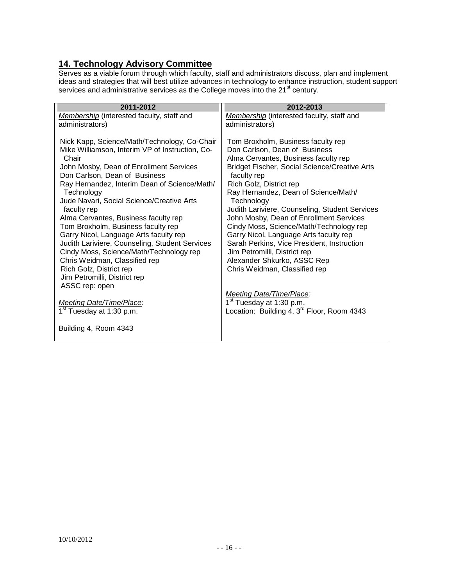# <span id="page-15-0"></span>**14. Technology Advisory Committee**

Serves as a viable forum through which faculty, staff and administrators discuss, plan and implement ideas and strategies that will best utilize advances in technology to enhance instruction, student support services and administrative services as the College moves into the 21<sup>st</sup> century.

| 2011-2012                                                                                                                                                                                                                                                                                                                                                                                                                                                                                                                                                                                                                                         | 2012-2013                                                                                                                                                                                                                                                                                                                                                                                                                                                                                                                                                                                           |
|---------------------------------------------------------------------------------------------------------------------------------------------------------------------------------------------------------------------------------------------------------------------------------------------------------------------------------------------------------------------------------------------------------------------------------------------------------------------------------------------------------------------------------------------------------------------------------------------------------------------------------------------------|-----------------------------------------------------------------------------------------------------------------------------------------------------------------------------------------------------------------------------------------------------------------------------------------------------------------------------------------------------------------------------------------------------------------------------------------------------------------------------------------------------------------------------------------------------------------------------------------------------|
| <b>Membership</b> (interested faculty, staff and<br>administrators)                                                                                                                                                                                                                                                                                                                                                                                                                                                                                                                                                                               | Membership (interested faculty, staff and<br>administrators)                                                                                                                                                                                                                                                                                                                                                                                                                                                                                                                                        |
| Nick Kapp, Science/Math/Technology, Co-Chair<br>Mike Williamson, Interim VP of Instruction, Co-<br>Chair<br>John Mosby, Dean of Enrollment Services<br>Don Carlson, Dean of Business<br>Ray Hernandez, Interim Dean of Science/Math/<br>Technology<br>Jude Navari, Social Science/Creative Arts<br>faculty rep<br>Alma Cervantes, Business faculty rep<br>Tom Broxholm, Business faculty rep<br>Garry Nicol, Language Arts faculty rep<br>Judith Lariviere, Counseling, Student Services<br>Cindy Moss, Science/Math/Technology rep<br>Chris Weidman, Classified rep<br>Rich Golz, District rep<br>Jim Petromilli, District rep<br>ASSC rep: open | Tom Broxholm, Business faculty rep<br>Don Carlson, Dean of Business<br>Alma Cervantes, Business faculty rep<br><b>Bridget Fischer, Social Science/Creative Arts</b><br>faculty rep<br>Rich Golz, District rep<br>Ray Hernandez, Dean of Science/Math/<br>Technology<br>Judith Lariviere, Counseling, Student Services<br>John Mosby, Dean of Enrollment Services<br>Cindy Moss, Science/Math/Technology rep<br>Garry Nicol, Language Arts faculty rep<br>Sarah Perkins, Vice President, Instruction<br>Jim Petromilli, District rep<br>Alexander Shkurko, ASSC Rep<br>Chris Weidman, Classified rep |
| Meeting Date/Time/Place:<br>1 <sup>st</sup> Tuesday at 1:30 p.m.                                                                                                                                                                                                                                                                                                                                                                                                                                                                                                                                                                                  | <b>Meeting Date/Time/Place:</b><br>1 <sup>st</sup> Tuesday at 1:30 p.m.<br>Location: Building 4, 3 <sup>rd</sup> Floor, Room 4343                                                                                                                                                                                                                                                                                                                                                                                                                                                                   |
| Building 4, Room 4343                                                                                                                                                                                                                                                                                                                                                                                                                                                                                                                                                                                                                             |                                                                                                                                                                                                                                                                                                                                                                                                                                                                                                                                                                                                     |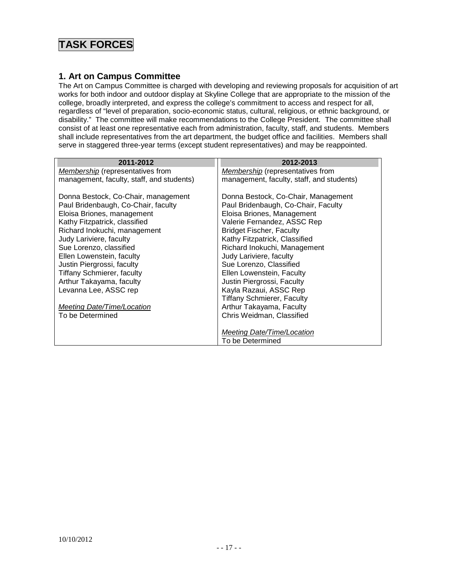# **TASK FORCES**

#### <span id="page-16-0"></span>**1. Art on Campus Committee**

The Art on Campus Committee is charged with developing and reviewing proposals for acquisition of art works for both indoor and outdoor display at Skyline College that are appropriate to the mission of the college, broadly interpreted, and express the college's commitment to access and respect for all, regardless of "level of preparation, socio-economic status, cultural, religious, or ethnic background, or disability." The committee will make recommendations to the College President. The committee shall consist of at least one representative each from administration, faculty, staff, and students. Members shall include representatives from the art department, the budget office and facilities. Members shall serve in staggered three-year terms (except student representatives) and may be reappointed.

| 2011-2012                                 | 2012-2013                                 |
|-------------------------------------------|-------------------------------------------|
| <b>Membership</b> (representatives from   | <b>Membership</b> (representatives from   |
| management, faculty, staff, and students) | management, faculty, staff, and students) |
| Donna Bestock, Co-Chair, management       | Donna Bestock, Co-Chair, Management       |
| Paul Bridenbaugh, Co-Chair, faculty       | Paul Bridenbaugh, Co-Chair, Faculty       |
| Eloisa Briones, management                | Eloisa Briones, Management                |
| Kathy Fitzpatrick, classified             | Valerie Fernandez, ASSC Rep               |
| Richard Inokuchi, management              | <b>Bridget Fischer, Faculty</b>           |
| Judy Lariviere, faculty                   | Kathy Fitzpatrick, Classified             |
| Sue Lorenzo, classified                   | Richard Inokuchi, Management              |
| Ellen Lowenstein, faculty                 | Judy Lariviere, faculty                   |
| Justin Piergrossi, faculty                | Sue Lorenzo, Classified                   |
| <b>Tiffany Schmierer, faculty</b>         | Ellen Lowenstein, Faculty                 |
| Arthur Takayama, faculty                  | Justin Piergrossi, Faculty                |
| Levanna Lee, ASSC rep                     | Kayla Razaui, ASSC Rep                    |
|                                           | <b>Tiffany Schmierer, Faculty</b>         |
| Meeting Date/Time/Location                | Arthur Takayama, Faculty                  |
| To be Determined                          | Chris Weidman, Classified                 |
|                                           |                                           |
|                                           | Meeting Date/Time/Location                |
|                                           | To be Determined                          |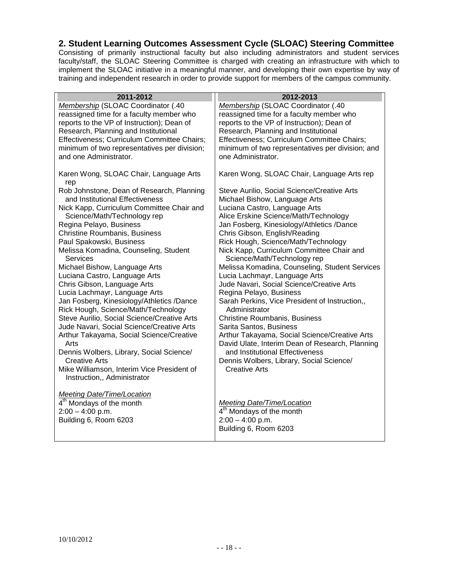#### <span id="page-17-0"></span>**2. Student Learning Outcomes Assessment Cycle (SLOAC) Steering Committee**

Consisting of primarily instructional faculty but also including administrators and student services faculty/staff, the SLOAC Steering Committee is charged with creating an infrastructure with which to implement the SLOAC initiative in a meaningful manner, and developing their own expertise by way of training and independent research in order to provide support for members of the campus community.

| 2011-2012                                                                 | 2012-2013                                        |
|---------------------------------------------------------------------------|--------------------------------------------------|
| Membership (SLOAC Coordinator (.40                                        | Membership (SLOAC Coordinator (.40               |
| reassigned time for a faculty member who                                  | reassigned time for a faculty member who         |
| reports to the VP of Instruction); Dean of                                | reports to the VP of Instruction); Dean of       |
| Research, Planning and Institutional                                      | Research, Planning and Institutional             |
| Effectiveness; Curriculum Committee Chairs;                               | Effectiveness; Curriculum Committee Chairs;      |
| minimum of two representatives per division;                              | minimum of two representatives per division; and |
| and one Administrator.                                                    | one Administrator.                               |
| Karen Wong, SLOAC Chair, Language Arts<br>rep                             | Karen Wong, SLOAC Chair, Language Arts rep       |
| Rob Johnstone, Dean of Research, Planning                                 | Steve Aurilio, Social Science/Creative Arts      |
| and Institutional Effectiveness                                           | Michael Bishow, Language Arts                    |
| Nick Kapp, Curriculum Committee Chair and                                 | Luciana Castro, Language Arts                    |
| Science/Math/Technology rep                                               | Alice Erskine Science/Math/Technology            |
| Regina Pelayo, Business                                                   | Jan Fosberg, Kinesiology/Athletics /Dance        |
| <b>Christine Roumbanis, Business</b>                                      | Chris Gibson, English/Reading                    |
| Paul Spakowski, Business                                                  | Rick Hough, Science/Math/Technology              |
| Melissa Komadina, Counseling, Student                                     | Nick Kapp, Curriculum Committee Chair and        |
| <b>Services</b>                                                           | Science/Math/Technology rep                      |
| Michael Bishow, Language Arts                                             | Melissa Komadina, Counseling, Student Services   |
| Luciana Castro, Language Arts                                             | Lucia Lachmayr, Language Arts                    |
| Chris Gibson, Language Arts                                               | Jude Navari, Social Science/Creative Arts        |
| Lucia Lachmayr, Language Arts                                             | Regina Pelayo, Business                          |
| Jan Fosberg, Kinesiology/Athletics /Dance                                 | Sarah Perkins, Vice President of Instruction,,   |
| Rick Hough, Science/Math/Technology                                       | Administrator                                    |
| Steve Aurilio, Social Science/Creative Arts                               | <b>Christine Roumbanis, Business</b>             |
| Jude Navari, Social Science/Creative Arts                                 | Sarita Santos, Business                          |
| Arthur Takayama, Social Science/Creative                                  | Arthur Takayama, Social Science/Creative Arts    |
| Arts                                                                      | David Ulate, Interim Dean of Research, Planning  |
| Dennis Wolbers, Library, Social Science/                                  | and Institutional Effectiveness                  |
| <b>Creative Arts</b>                                                      | Dennis Wolbers, Library, Social Science/         |
| Mike Williamson, Interim Vice President of<br>Instruction,, Administrator | <b>Creative Arts</b>                             |
| Meeting Date/Time/Location                                                |                                                  |
| 4 <sup>th</sup> Mondays of the month                                      | <b>Meeting Date/Time/Location</b>                |
| $2:00 - 4:00$ p.m.                                                        | 4 <sup>th</sup> Mondays of the month             |
| Building 6, Room 6203                                                     | $2:00 - 4:00$ p.m.                               |
|                                                                           | Building 6, Room 6203                            |
|                                                                           |                                                  |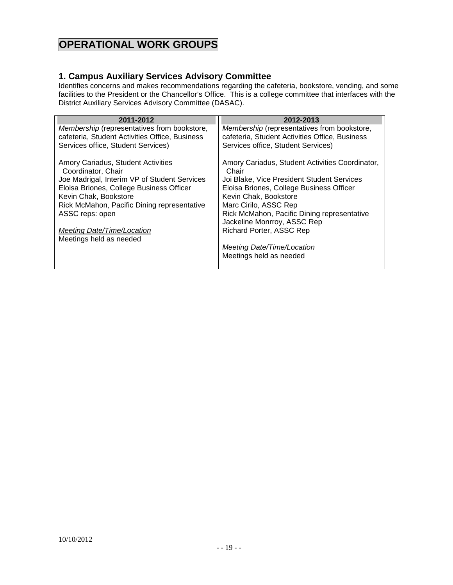# **OPERATIONAL WORK GROUPS**

#### <span id="page-18-0"></span>**1. Campus Auxiliary Services Advisory Committee**

Identifies concerns and makes recommendations regarding the cafeteria, bookstore, vending, and some facilities to the President or the Chancellor's Office. This is a college committee that interfaces with the District Auxiliary Services Advisory Committee (DASAC).

| 2011-2012                                                | 2012-2013                                                |
|----------------------------------------------------------|----------------------------------------------------------|
| Membership (representatives from bookstore,              | <b>Membership</b> (representatives from bookstore,       |
| cafeteria, Student Activities Office, Business           | cafeteria, Student Activities Office, Business           |
| Services office, Student Services)                       | Services office, Student Services)                       |
| Amory Cariadus, Student Activities<br>Coordinator, Chair | Amory Cariadus, Student Activities Coordinator,<br>Chair |
| Joe Madrigal, Interim VP of Student Services             | Joi Blake, Vice President Student Services               |
| Eloisa Briones, College Business Officer                 | Eloisa Briones, College Business Officer                 |
| Kevin Chak, Bookstore                                    | Kevin Chak, Bookstore                                    |
| Rick McMahon, Pacific Dining representative              | Marc Cirilo, ASSC Rep                                    |
| ASSC reps: open                                          | Rick McMahon, Pacific Dining representative              |
|                                                          | Jackeline Monrroy, ASSC Rep                              |
| Meeting Date/Time/Location                               | <b>Richard Porter, ASSC Rep</b>                          |
| Meetings held as needed                                  |                                                          |
|                                                          | Meeting Date/Time/Location                               |
|                                                          | Meetings held as needed                                  |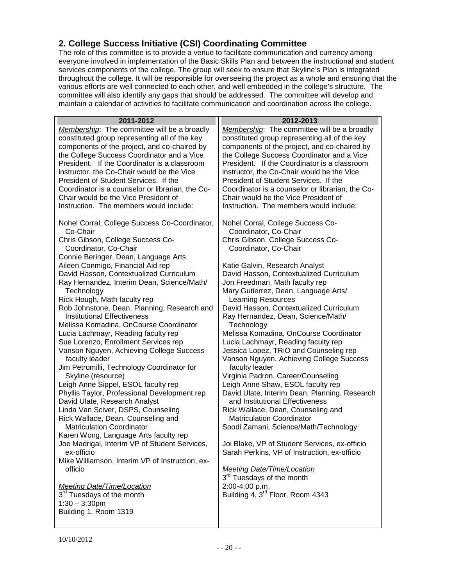# <span id="page-19-0"></span>**2. College Success Initiative (CSI) Coordinating Committee**

The role of this committee is to provide a venue to facilitate communication and currency among everyone involved in implementation of the Basic Skills Plan and between the instructional and student services components of the college. The group will seek to ensure that Skyline's Plan is integrated throughout the college. It will be responsible for overseeing the project as a whole and ensuring that the various efforts are well connected to each other, and well embedded in the college's structure. The committee will also identify any gaps that should be addressed. The committee will develop and maintain a calendar of activities to facilitate communication and coordination across the college.

| 2011-2012                                                                         | 2012-2013                                                                  |
|-----------------------------------------------------------------------------------|----------------------------------------------------------------------------|
| Membership: The committee will be a broadly                                       | Membership: The committee will be a broadly                                |
| constituted group representing all of the key                                     | constituted group representing all of the key                              |
| components of the project, and co-chaired by                                      | components of the project, and co-chaired by                               |
| the College Success Coordinator and a Vice                                        | the College Success Coordinator and a Vice                                 |
| President. If the Coordinator is a classroom                                      | President. If the Coordinator is a classroom                               |
| instructor, the Co-Chair would be the Vice                                        | instructor, the Co-Chair would be the Vice                                 |
| President of Student Services. If the                                             | President of Student Services. If the                                      |
| Coordinator is a counselor or librarian, the Co-                                  | Coordinator is a counselor or librarian, the Co-                           |
| Chair would be the Vice President of                                              | Chair would be the Vice President of                                       |
| Instruction. The members would include:                                           | Instruction. The members would include:                                    |
| Nohel Corral, College Success Co-Coordinator,                                     | Nohel Corral, College Success Co-                                          |
| Co-Chair                                                                          | Coordinator, Co-Chair                                                      |
| Chris Gibson, College Success Co-                                                 | Chris Gibson, College Success Co-                                          |
| Coordinator, Co-Chair                                                             | Coordinator, Co-Chair                                                      |
| Connie Beringer, Dean, Language Arts                                              |                                                                            |
| Aileen Conmigo, Financial Aid rep                                                 | Katie Galvin, Research Analyst                                             |
| David Hasson, Contextualized Curriculum                                           | David Hasson, Contextualized Curriculum                                    |
| Ray Hernandez, Interim Dean, Science/Math/                                        | Jon Freedman, Math faculty rep                                             |
| Technology                                                                        | Mary Gutierrez, Dean, Language Arts/                                       |
| Rick Hough, Math faculty rep                                                      | <b>Learning Resources</b><br>David Hasson, Contextualized Curriculum       |
| Rob Johnstone, Dean, Planning, Research and<br><b>Institutional Effectiveness</b> | Ray Hernandez, Dean, Science/Math/                                         |
| Melissa Komadina, OnCourse Coordinator                                            | Technology                                                                 |
| Lucia Lachmayr, Reading faculty rep                                               | Melissa Komadina, OnCourse Coordinator                                     |
| Sue Lorenzo, Enrollment Services rep                                              | Lucia Lachmayr, Reading faculty rep                                        |
| Vanson Nguyen, Achieving College Success                                          | Jessica Lopez, TRiO and Counseling rep                                     |
| faculty leader                                                                    | Vanson Nguyen, Achieving College Success                                   |
| Jim Petromilli, Technology Coordinator for                                        | faculty leader                                                             |
| Skyline (resource)                                                                | Virginia Padron, Career/Counseling                                         |
| Leigh Anne Sippel, ESOL faculty rep                                               | Leigh Anne Shaw, ESOL faculty rep                                          |
| Phyllis Taylor, Professional Development rep                                      | David Ulate, Interim Dean, Planning, Research                              |
| David Ulate, Research Analyst                                                     | and Institutional Effectiveness                                            |
| Linda Van Sciver, DSPS, Counseling                                                | Rick Wallace, Dean, Counseling and                                         |
| Rick Wallace, Dean, Counseling and                                                | <b>Matriculation Coordinator</b>                                           |
| <b>Matriculation Coordinator</b>                                                  | Soodi Zamani, Science/Math/Technology                                      |
| Karen Wong, Language Arts faculty rep                                             |                                                                            |
| Joe Madrigal, Interim VP of Student Services,                                     | Joi Blake, VP of Student Services, ex-officio                              |
| ex-officio                                                                        | Sarah Perkins, VP of Instruction, ex-officio                               |
| Mike Williamson, Interim VP of Instruction, ex-                                   |                                                                            |
| officio                                                                           | <b>Meeting Date/Time/Location</b><br>3 <sup>rd</sup> Tuesdays of the month |
|                                                                                   |                                                                            |
| <b>Meeting Date/Time/Location</b><br>3 <sup>rd</sup> Tuesdays of the month        | 2:00-4:00 p.m.<br>Building 4, 3 <sup>rd</sup> Floor, Room 4343             |
| $1:30 - 3:30$ pm                                                                  |                                                                            |
| Building 1, Room 1319                                                             |                                                                            |
|                                                                                   |                                                                            |
|                                                                                   |                                                                            |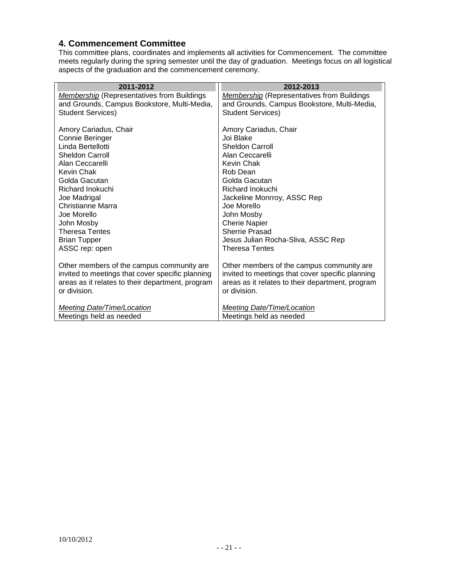# <span id="page-20-0"></span>**4. Commencement Committee**

This committee plans, coordinates and implements all activities for Commencement. The committee meets regularly during the spring semester until the day of graduation. Meetings focus on all logistical aspects of the graduation and the commencement ceremony.

| <b>Membership</b> (Representatives from Buildings |
|---------------------------------------------------|
| and Grounds, Campus Bookstore, Multi-Media,       |
|                                                   |
|                                                   |
|                                                   |
|                                                   |
|                                                   |
|                                                   |
|                                                   |
|                                                   |
|                                                   |
|                                                   |
|                                                   |
|                                                   |
|                                                   |
|                                                   |
|                                                   |
|                                                   |
|                                                   |
| Other members of the campus community are         |
| invited to meetings that cover specific planning  |
| areas as it relates to their department, program  |
|                                                   |
|                                                   |
|                                                   |
|                                                   |
|                                                   |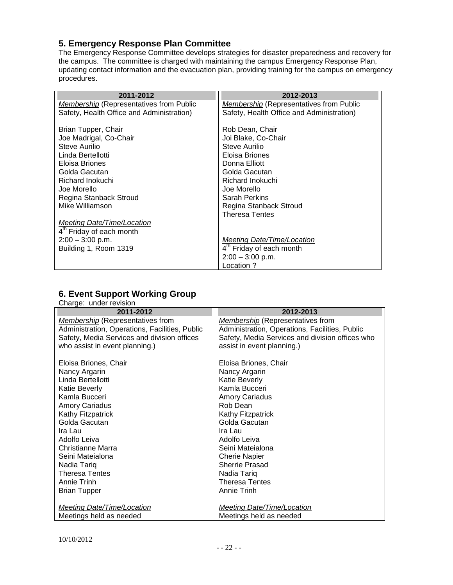# <span id="page-21-0"></span>**5. Emergency Response Plan Committee**

The Emergency Response Committee develops strategies for disaster preparedness and recovery for the campus. The committee is charged with maintaining the campus Emergency Response Plan, updating contact information and the evacuation plan, providing training for the campus on emergency procedures.

| 2011-2012                                      | 2012-2013                                      |
|------------------------------------------------|------------------------------------------------|
| <b>Membership</b> (Representatives from Public | <b>Membership</b> (Representatives from Public |
| Safety, Health Office and Administration)      | Safety, Health Office and Administration)      |
| Brian Tupper, Chair                            | Rob Dean, Chair                                |
| Joe Madrigal, Co-Chair                         | Joi Blake, Co-Chair                            |
| Steve Aurilio                                  | Steve Aurilio                                  |
| Linda Bertellotti                              | Eloisa Briones                                 |
| Eloisa Briones                                 | Donna Elliott                                  |
| Golda Gacutan                                  | Golda Gacutan                                  |
| Richard Inokuchi                               | Richard Inokuchi                               |
| Joe Morello                                    | Joe Morello                                    |
| Regina Stanback Stroud                         | <b>Sarah Perkins</b>                           |
| Mike Williamson                                | Regina Stanback Stroud                         |
|                                                | <b>Theresa Tentes</b>                          |
| Meeting Date/Time/Location                     |                                                |
| 4 <sup>th</sup> Friday of each month           |                                                |
| $2:00 - 3:00$ p.m.                             | Meeting Date/Time/Location                     |
| Building 1, Room 1319                          | 4 <sup>th</sup> Friday of each month           |
|                                                | $2:00 - 3:00$ p.m.                             |
|                                                | Location?                                      |

#### <span id="page-21-1"></span>**6. Event Support Working Group**

| Charge: under revision                         |                                                 |
|------------------------------------------------|-------------------------------------------------|
| 2011-2012                                      | 2012-2013                                       |
| <b>Membership</b> (Representatives from        | <b>Membership</b> (Representatives from         |
| Administration, Operations, Facilities, Public | Administration, Operations, Facilities, Public  |
| Safety, Media Services and division offices    | Safety, Media Services and division offices who |
| who assist in event planning.)                 | assist in event planning.)                      |
|                                                |                                                 |
| Eloisa Briones, Chair                          | Eloisa Briones, Chair                           |
| Nancy Argarin                                  | Nancy Argarin                                   |
| Linda Bertellotti                              | <b>Katie Beverly</b>                            |
| Katie Beverly                                  | Kamla Bucceri                                   |
| Kamla Bucceri                                  | <b>Amory Cariadus</b>                           |
| <b>Amory Cariadus</b>                          | Rob Dean                                        |
| Kathy Fitzpatrick                              | Kathy Fitzpatrick                               |
| Golda Gacutan                                  | Golda Gacutan                                   |
| Ira Lau                                        | Ira Lau                                         |
| Adolfo Leiva                                   | Adolfo Leiva                                    |
| Christianne Marra                              | Seini Mateialona                                |
| Seini Mateialona                               | <b>Cherie Napier</b>                            |
| Nadia Tariq                                    | <b>Sherrie Prasad</b>                           |
| <b>Theresa Tentes</b>                          | Nadia Tariq                                     |
| Annie Trinh                                    | Theresa Tentes                                  |
| <b>Brian Tupper</b>                            | Annie Trinh                                     |
|                                                |                                                 |
| <b>Meeting Date/Time/Location</b>              | <b>Meeting Date/Time/Location</b>               |
| Meetings held as needed                        | Meetings held as needed                         |

10/10/2012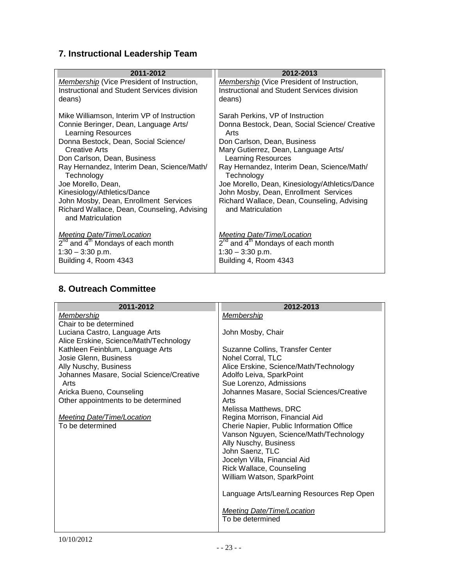# <span id="page-22-0"></span>**7. Instructional Leadership Team**

| 2011-2012                                                                                 | 2012-2013                                                                                        |
|-------------------------------------------------------------------------------------------|--------------------------------------------------------------------------------------------------|
| Membership (Vice President of Instruction,<br>Instructional and Student Services division | <b>Membership</b> (Vice President of Instruction,<br>Instructional and Student Services division |
| deans)                                                                                    | deans)                                                                                           |
| Mike Williamson, Interim VP of Instruction                                                | Sarah Perkins, VP of Instruction                                                                 |
| Connie Beringer, Dean, Language Arts/<br><b>Learning Resources</b>                        | Donna Bestock, Dean, Social Science/ Creative<br>Arts                                            |
| Donna Bestock, Dean, Social Science/                                                      | Don Carlson, Dean, Business                                                                      |
| <b>Creative Arts</b>                                                                      | Mary Gutierrez, Dean, Language Arts/                                                             |
| Don Carlson, Dean, Business                                                               | Learning Resources                                                                               |
| Ray Hernandez, Interim Dean, Science/Math/<br>Technology                                  | Ray Hernandez, Interim Dean, Science/Math/<br>Technology                                         |
| Joe Morello, Dean,                                                                        | Joe Morello, Dean, Kinesiology/Athletics/Dance                                                   |
| Kinesiology/Athletics/Dance                                                               | John Mosby, Dean, Enrollment Services                                                            |
| John Mosby, Dean, Enrollment Services                                                     | Richard Wallace, Dean, Counseling, Advising                                                      |
| Richard Wallace, Dean, Counseling, Advising<br>and Matriculation                          | and Matriculation                                                                                |
| <b>Meeting Date/Time/Location</b>                                                         | <b>Meeting Date/Time/Location</b>                                                                |
| 2 <sup>nd</sup> and 4 <sup>th</sup> Mondays of each month                                 | 2 <sup>nd</sup> and 4 <sup>th</sup> Mondays of each month                                        |
| $1:30 - 3:30$ p.m.                                                                        | $1:30 - 3:30$ p.m.                                                                               |
| Building 4, Room 4343                                                                     | Building 4, Room 4343                                                                            |

# <span id="page-22-1"></span>**8. Outreach Committee**

| 2011-2012                                | 2012-2013                                       |
|------------------------------------------|-------------------------------------------------|
| <b>Membership</b>                        | Membership                                      |
| Chair to be determined                   |                                                 |
| Luciana Castro, Language Arts            | John Mosby, Chair                               |
| Alice Erskine, Science/Math/Technology   |                                                 |
| Kathleen Feinblum, Language Arts         | Suzanne Collins, Transfer Center                |
| Josie Glenn, Business                    | Nohel Corral, TLC                               |
| Ally Nuschy, Business                    | Alice Erskine, Science/Math/Technology          |
| Johannes Masare, Social Science/Creative | Adolfo Leiva, SparkPoint                        |
| Arts                                     | Sue Lorenzo, Admissions                         |
| Aricka Bueno, Counseling                 | Johannes Masare, Social Sciences/Creative       |
| Other appointments to be determined      | Arts                                            |
|                                          | Melissa Matthews, DRC                           |
| <b>Meeting Date/Time/Location</b>        | Regina Morrison, Financial Aid                  |
| To be determined                         | Cherie Napier, Public Information Office        |
|                                          | Vanson Nguyen, Science/Math/Technology          |
|                                          | Ally Nuschy, Business                           |
|                                          | John Saenz, TLC<br>Jocelyn Villa, Financial Aid |
|                                          | Rick Wallace, Counseling                        |
|                                          | William Watson, SparkPoint                      |
|                                          |                                                 |
|                                          | Language Arts/Learning Resources Rep Open       |
|                                          | Meeting Date/Time/Location                      |
|                                          | To be determined                                |
|                                          |                                                 |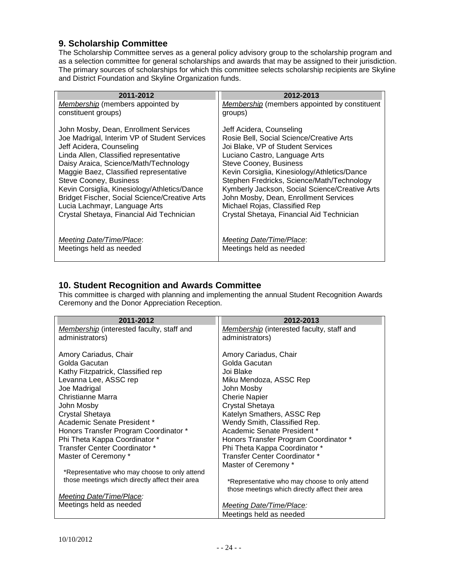#### <span id="page-23-0"></span>**9. Scholarship Committee**

The Scholarship Committee serves as a general policy advisory group to the scholarship program and as a selection committee for general scholarships and awards that may be assigned to their jurisdiction. The primary sources of scholarships for which this committee selects scholarship recipients are Skyline and District Foundation and Skyline Organization funds.

| 2011-2012                                            | 2012-2013                                           |
|------------------------------------------------------|-----------------------------------------------------|
| <b>Membership</b> (members appointed by              | <b>Membership</b> (members appointed by constituent |
| constituent groups)                                  | groups)                                             |
| John Mosby, Dean, Enrollment Services                | Jeff Acidera, Counseling                            |
| Joe Madrigal, Interim VP of Student Services         | Rosie Bell, Social Science/Creative Arts            |
| Jeff Acidera, Counseling                             | Joi Blake, VP of Student Services                   |
| Linda Allen, Classified representative               | Luciano Castro, Language Arts                       |
| Daisy Araica, Science/Math/Technology                | <b>Steve Cooney, Business</b>                       |
| Maggie Baez, Classified representative               | Kevin Corsiglia, Kinesiology/Athletics/Dance        |
| Steve Cooney, Business                               | Stephen Fredricks, Science/Math/Technology          |
| Kevin Corsiglia, Kinesiology/Athletics/Dance         | Kymberly Jackson, Social Science/Creative Arts      |
| <b>Bridget Fischer, Social Science/Creative Arts</b> | John Mosby, Dean, Enrollment Services               |
| Lucia Lachmayr, Language Arts                        | Michael Rojas, Classified Rep                       |
| Crystal Shetaya, Financial Aid Technician            | Crystal Shetaya, Financial Aid Technician           |
|                                                      |                                                     |
| Meeting Date/Time/Place:                             | Meeting Date/Time/Place:                            |
| Meetings held as needed                              | Meetings held as needed                             |
|                                                      |                                                     |

#### <span id="page-23-1"></span>**10. Student Recognition and Awards Committee**

This committee is charged with planning and implementing the annual Student Recognition Awards Ceremony and the Donor Appreciation Reception.

| 2011-2012                                       | 2012-2013                                       |
|-------------------------------------------------|-------------------------------------------------|
| Membership (interested faculty, staff and       | Membership (interested faculty, staff and       |
| administrators)                                 | administrators)                                 |
|                                                 |                                                 |
| Amory Cariadus, Chair                           | Amory Cariadus, Chair                           |
| Golda Gacutan                                   | Golda Gacutan                                   |
| Kathy Fitzpatrick, Classified rep               | Joi Blake                                       |
| Levanna Lee, ASSC rep                           | Miku Mendoza, ASSC Rep                          |
| Joe Madrigal                                    | John Mosby                                      |
| Christianne Marra                               | <b>Cherie Napier</b>                            |
| John Mosby                                      | Crystal Shetaya                                 |
| Crystal Shetaya                                 | Katelyn Smathers, ASSC Rep                      |
| Academic Senate President *                     | Wendy Smith, Classified Rep.                    |
| Honors Transfer Program Coordinator *           | Academic Senate President *                     |
| Phi Theta Kappa Coordinator *                   | Honors Transfer Program Coordinator *           |
| Transfer Center Coordinator *                   | Phi Theta Kappa Coordinator *                   |
| Master of Ceremony *                            | Transfer Center Coordinator *                   |
|                                                 | Master of Ceremony *                            |
| *Representative who may choose to only attend   |                                                 |
| those meetings which directly affect their area | *Representative who may choose to only attend   |
|                                                 | those meetings which directly affect their area |
| <b>Meeting Date/Time/Place:</b>                 |                                                 |
| Meetings held as needed                         | Meeting Date/Time/Place:                        |
|                                                 | Meetings held as needed                         |